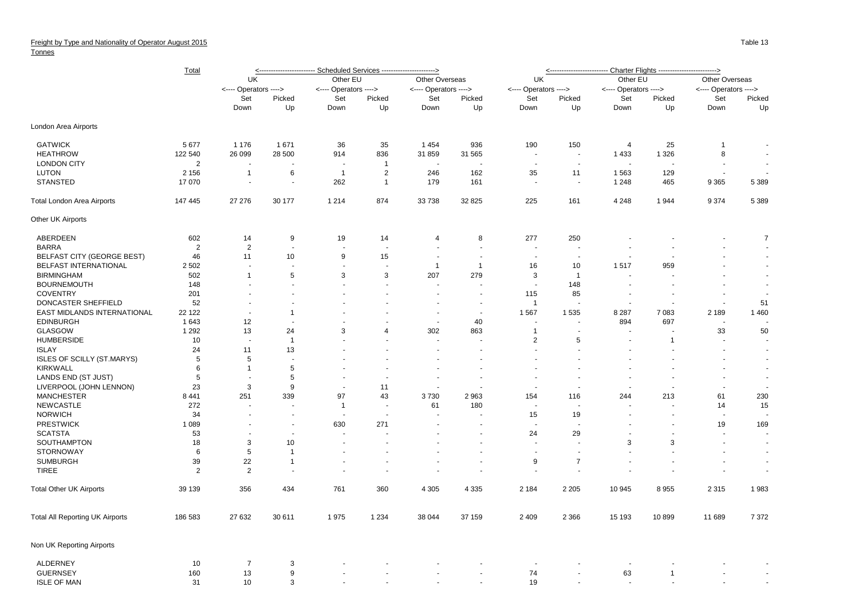## Freight by Type and Nationality of Operator August 2015

## **Tonnes**

|                                        | <b>Total</b>              | <u>&lt;------------------------ Scheduled Services ----------------------&gt;</u> |                |                                 |                       |                       |                          |                       |                                    |                       |                      |                          |                          |
|----------------------------------------|---------------------------|-----------------------------------------------------------------------------------|----------------|---------------------------------|-----------------------|-----------------------|--------------------------|-----------------------|------------------------------------|-----------------------|----------------------|--------------------------|--------------------------|
|                                        |                           | UK                                                                                |                | Other EU                        |                       | Other Overseas        |                          | UK                    |                                    | Other EU              |                      | Other Overseas           |                          |
|                                        |                           | <---- Operators ---->                                                             |                | <---- Operators ---->           |                       | <---- Operators ----> |                          | <---- Operators ----> |                                    | <---- Operators ----> |                      | <---- Operators ---->    |                          |
|                                        |                           | Set                                                                               | Picked         | Set                             | Picked                | Set                   | Picked                   | Set                   | Picked                             | Set                   | Picked               | Set                      | Picked                   |
|                                        |                           | Down                                                                              | Up             | Down                            | Up                    | Down                  | Up                       | Down                  | Up                                 | Down                  | Up                   | Down                     | Up                       |
| London Area Airports                   |                           |                                                                                   |                |                                 |                       |                       |                          |                       |                                    |                       |                      |                          |                          |
| <b>GATWICK</b>                         | 5 6 7 7                   | 1 1 7 6                                                                           | 1671           | 36                              | 35                    | 1454                  | 936                      | 190                   | 150                                | 4                     | 25                   | $\mathbf{1}$             |                          |
| <b>HEATHROW</b><br><b>LONDON CITY</b>  | 122 540<br>$\overline{2}$ | 26 099                                                                            | 28 500         | 914<br>$\overline{\phantom{a}}$ | 836<br>$\overline{1}$ | 31 859                | 31 565                   | $\sim$<br>$\sim$      | $\overline{\phantom{a}}$<br>$\sim$ | 1 4 3 3               | 1 3 2 6              | 8<br>$\sim$              | $\sim$<br>$\sim$         |
| <b>LUTON</b>                           | 2 1 5 6                   | $\overline{1}$                                                                    | 6              | $\overline{1}$                  | 2                     | 246                   | 162                      | 35                    | 11                                 | 1563                  | 129                  |                          |                          |
| <b>STANSTED</b>                        | 17 070                    | $\overline{\phantom{a}}$                                                          | $\sim$         | 262                             | $\mathbf{1}$          | 179                   | 161                      | $\sim$                | $\sim$                             | 1 2 4 8               | 465                  | 9 3 6 5                  | 5 3 8 9                  |
| <b>Total London Area Airports</b>      | 147 445                   | 27 27 6                                                                           | 30 177         | 1 2 1 4                         | 874                   | 33 738                | 32 825                   | 225                   | 161                                | 4 2 4 8               | 1944                 | 9 3 7 4                  | 5 3 8 9                  |
| Other UK Airports                      |                           |                                                                                   |                |                                 |                       |                       |                          |                       |                                    |                       |                      |                          |                          |
| ABERDEEN                               | 602                       | 14                                                                                | 9              | 19                              | 14                    | $\overline{4}$        | 8                        | 277                   | 250                                |                       |                      |                          | $\overline{7}$           |
| <b>BARRA</b>                           | $\overline{2}$            | $\overline{2}$                                                                    |                | ÷,                              |                       |                       |                          |                       | ÷,                                 |                       |                      |                          |                          |
| <b>BELFAST CITY (GEORGE BEST)</b>      | 46                        | 11                                                                                | 10             | 9                               | 15                    | $\sim$                | $\sim$                   | $\sim$                | $\sim$                             |                       |                      |                          |                          |
| <b>BELFAST INTERNATIONAL</b>           | 2 5 0 2                   | $\overline{\phantom{a}}$                                                          |                | $\overline{\phantom{a}}$        |                       | $\mathbf{1}$          | $\overline{1}$           | 16                    | 10                                 | 1517                  | 959                  |                          | $\blacksquare$           |
| <b>BIRMINGHAM</b>                      | 502                       | $\overline{1}$                                                                    | 5              | 3                               | 3                     | 207                   | 279                      | 3                     | $\overline{1}$                     |                       |                      |                          | $\blacksquare$           |
| <b>BOURNEMOUTH</b>                     | 148                       |                                                                                   |                |                                 |                       |                       |                          | $\sim$                | 148                                |                       | $\ddot{\phantom{1}}$ |                          | $\blacksquare$           |
| <b>COVENTRY</b>                        | 201                       |                                                                                   |                |                                 |                       |                       |                          | 115                   | 85                                 |                       |                      |                          |                          |
| DONCASTER SHEFFIELD                    | 52                        | $\ddot{\phantom{1}}$                                                              |                |                                 |                       |                       | $\sim$                   | $\mathbf{1}$          | J.                                 |                       |                      | ÷.                       | 51                       |
| EAST MIDLANDS INTERNATIONAL            | 22 122                    | $\overline{\phantom{a}}$                                                          | $\mathbf{1}$   |                                 |                       | ÷,                    | $\sim$                   | 1 5 6 7               | 1 5 3 5                            | 8 2 8 7               | 7 0 8 3              | 2 1 8 9                  | 1 4 6 0                  |
| <b>EDINBURGH</b>                       | 1 643                     | 12                                                                                |                |                                 |                       |                       | 40                       |                       |                                    | 894                   | 697                  |                          |                          |
| GLASGOW                                | 1 2 9 2                   | 13                                                                                | 24             | 3                               | 4                     | 302                   | 863                      | $\mathbf{1}$          | $\sim$                             |                       |                      | 33                       | 50                       |
| <b>HUMBERSIDE</b>                      | 10                        | $\overline{\phantom{a}}$                                                          | $\overline{1}$ |                                 |                       |                       |                          | $\overline{2}$        | 5                                  |                       | $\mathbf{1}$         |                          |                          |
| <b>ISLAY</b>                           | 24                        | 11                                                                                | 13             |                                 |                       |                       |                          |                       |                                    |                       |                      |                          |                          |
| <b>ISLES OF SCILLY (ST.MARYS)</b>      | 5                         | 5                                                                                 | $\sim$         |                                 |                       |                       |                          |                       |                                    |                       |                      |                          | $\sim$                   |
| <b>KIRKWALL</b>                        | 6                         | $\overline{1}$                                                                    | 5              | $\blacksquare$                  |                       |                       |                          |                       |                                    |                       |                      |                          | $\blacksquare$           |
| LANDS END (ST JUST)                    | 5                         | $\blacksquare$                                                                    | 5              |                                 |                       |                       |                          |                       | $\overline{a}$                     |                       |                      |                          | $\sim$                   |
| LIVERPOOL (JOHN LENNON)                | 23                        | 3                                                                                 | 9              | $\blacksquare$                  | 11                    | $\sim$                |                          | in 1919.              | $\sim$                             |                       | ÷.                   | in 1919.                 |                          |
| <b>MANCHESTER</b>                      | 8 4 4 1                   | 251                                                                               | 339            | 97                              | 43                    | 3730                  | 2963                     | 154                   | 116                                | 244                   | 213                  | 61                       | 230                      |
| NEWCASTLE                              | 272                       | ÷.                                                                                |                | $\overline{1}$                  |                       | 61                    | 180                      |                       |                                    |                       | $\ddot{\phantom{1}}$ | 14                       | 15                       |
| <b>NORWICH</b>                         | 34                        |                                                                                   |                | ÷.                              |                       |                       |                          | 15                    | 19                                 |                       |                      |                          |                          |
| <b>PRESTWICK</b>                       | 1 0 8 9                   | $\blacksquare$                                                                    | $\sim$         | 630                             | 271                   |                       | $\overline{\phantom{a}}$ |                       |                                    |                       |                      | 19                       | 169                      |
| <b>SCATSTA</b>                         | 53                        |                                                                                   | $\sim$         |                                 |                       |                       |                          | 24                    | 29                                 |                       | $\blacksquare$       |                          | $\overline{\phantom{a}}$ |
| SOUTHAMPTON                            | 18                        | 3                                                                                 | 10             |                                 |                       |                       |                          |                       |                                    | 3                     | 3                    |                          |                          |
| <b>STORNOWAY</b>                       | 6                         | 5                                                                                 | $\mathbf{1}$   | $\overline{\phantom{a}}$        |                       |                       |                          | $\sim$                | $\sim$                             | $\sim$                | $\overline{a}$       | $\overline{\phantom{a}}$ | $\sim$                   |
| <b>SUMBURGH</b>                        | 39                        | 22                                                                                | $\mathbf{1}$   |                                 |                       |                       |                          | 9                     | $\overline{7}$                     |                       |                      |                          | $\blacksquare$           |
| <b>TIREE</b>                           | 2                         | $\overline{2}$                                                                    |                |                                 |                       |                       |                          |                       | $\sim$                             |                       |                      |                          | $\blacksquare$           |
| <b>Total Other UK Airports</b>         | 39 139                    | 356                                                                               | 434            | 761                             | 360                   | 4 3 0 5               | 4 3 3 5                  | 2 1 8 4               | 2 2 0 5                            | 10 945                | 8955                 | 2 3 1 5                  | 1983                     |
| <b>Total All Reporting UK Airports</b> | 186 583                   | 27 632                                                                            | 30 611         | 1975                            | 1 2 3 4               | 38 044                | 37 159                   | 2 4 0 9               | 2 3 6 6                            | 15 193                | 10899                | 11 689                   | 7 3 7 2                  |
| Non UK Reporting Airports              |                           |                                                                                   |                |                                 |                       |                       |                          |                       |                                    |                       |                      |                          |                          |
| ALDERNEY                               | 10                        | 7                                                                                 | 3              |                                 |                       |                       |                          |                       |                                    |                       |                      |                          |                          |
| <b>GUERNSEY</b>                        | 160                       | 13                                                                                | 9              |                                 |                       |                       |                          | 74                    |                                    | 63                    | $\overline{1}$       |                          |                          |
| <b>ISLE OF MAN</b>                     | 31                        | 10                                                                                | 3              |                                 |                       |                       |                          | 19                    | $\overline{a}$                     | $\overline{a}$        | $\sim$               |                          |                          |